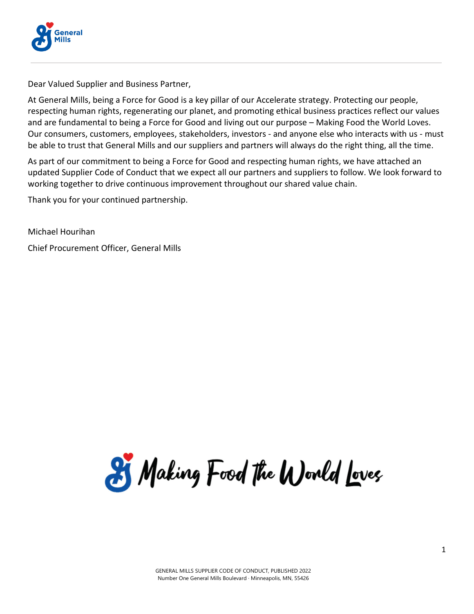

Dear Valued Supplier and Business Partner,

At General Mills, being a Force for Good is a key pillar of our Accelerate strategy. Protecting our people, respecting human rights, regenerating our planet, and promoting ethical business practices reflect our values and are fundamental to being a Force for Good and living out our purpose – Making Food the World Loves. Our consumers, customers, employees, stakeholders, investors - and anyone else who interacts with us - must be able to trust that General Mills and our suppliers and partners will always do the right thing, all the time.

As part of our commitment to being a Force for Good and respecting human rights, we have attached an updated Supplier Code of Conduct that we expect all our partners and suppliers to follow. We look forward to working together to drive continuous improvement throughout our shared value chain.

Thank you for your continued partnership.

Michael Hourihan

Chief Procurement Officer, General Mills

25 Making Food the World Loves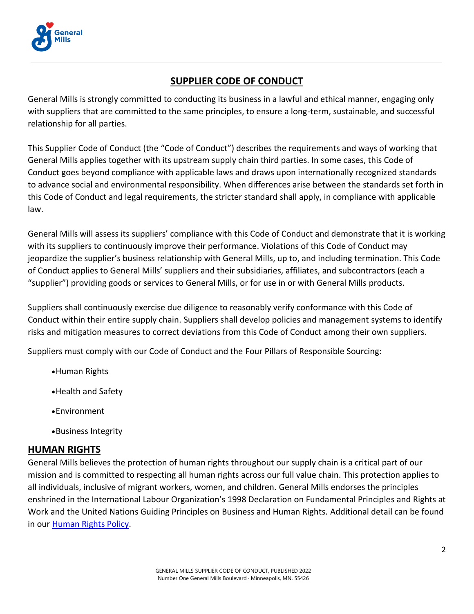

# **SUPPLIER CODE OF CONDUCT**

General Mills is strongly committed to conducting its business in a lawful and ethical manner, engaging only with suppliers that are committed to the same principles, to ensure a long-term, sustainable, and successful relationship for all parties.

This Supplier Code of Conduct (the "Code of Conduct") describes the requirements and ways of working that General Mills applies together with its upstream supply chain third parties. In some cases, this Code of Conduct goes beyond compliance with applicable laws and draws upon internationally recognized standards to advance social and environmental responsibility. When differences arise between the standards set forth in this Code of Conduct and legal requirements, the stricter standard shall apply, in compliance with applicable law.

General Mills will assess its suppliers' compliance with this Code of Conduct and demonstrate that it is working with its suppliers to continuously improve their performance. Violations of this Code of Conduct may jeopardize the supplier's business relationship with General Mills, up to, and including termination. This Code of Conduct applies to General Mills' suppliers and their subsidiaries, affiliates, and subcontractors (each a "supplier") providing goods or services to General Mills, or for use in or with General Mills products.

Suppliers shall continuously exercise due diligence to reasonably verify conformance with this Code of Conduct within their entire supply chain. Suppliers shall develop policies and management systems to identify risks and mitigation measures to correct deviations from this Code of Conduct among their own suppliers.

Suppliers must comply with our Code of Conduct and the Four Pillars of Responsible Sourcing:

- •Human Rights
- •Health and Safety
- •Environment
- •Business Integrity

#### **HUMAN RIGHTS**

General Mills believes the protection of human rights throughout our supply chain is a critical part of our mission and is committed to respecting all human rights across our full value chain. This protection applies to all individuals, inclusive of migrant workers, women, and children. General Mills endorses the principles enshrined in the International Labour Organization's 1998 Declaration on Fundamental Principles and Rights at Work and the United Nations Guiding Principles on Business and Human Rights. Additional detail can be found in our **Human Rights Policy**.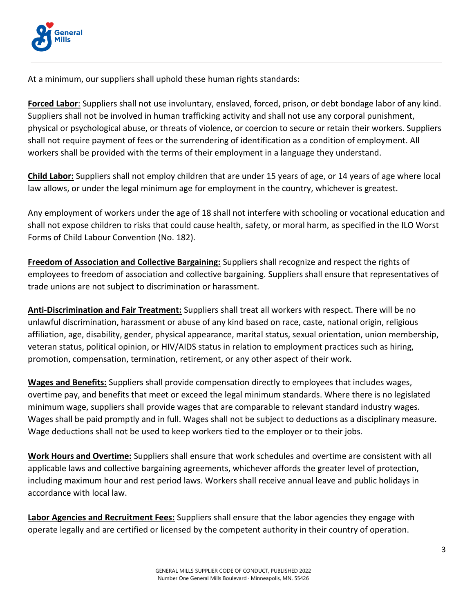

At a minimum, our suppliers shall uphold these human rights standards:

**Forced Labor**: Suppliers shall not use involuntary, enslaved, forced, prison, or debt bondage labor of any kind. Suppliers shall not be involved in human trafficking activity and shall not use any corporal punishment, physical or psychological abuse, or threats of violence, or coercion to secure or retain their workers. Suppliers shall not require payment of fees or the surrendering of identification as a condition of employment. All workers shall be provided with the terms of their employment in a language they understand.

**Child Labor:** Suppliers shall not employ children that are under 15 years of age, or 14 years of age where local law allows, or under the legal minimum age for employment in the country, whichever is greatest.

Any employment of workers under the age of 18 shall not interfere with schooling or vocational education and shall not expose children to risks that could cause health, safety, or moral harm, as specified in the ILO Worst Forms of Child Labour Convention (No. 182).

**Freedom of Association and Collective Bargaining:** Suppliers shall recognize and respect the rights of employees to freedom of association and collective bargaining. Suppliers shall ensure that representatives of trade unions are not subject to discrimination or harassment.

**Anti-Discrimination and Fair Treatment:** Suppliers shall treat all workers with respect. There will be no unlawful discrimination, harassment or abuse of any kind based on race, caste, national origin, religious affiliation, age, disability, gender, physical appearance, marital status, sexual orientation, union membership, veteran status, political opinion, or HIV/AIDS status in relation to employment practices such as hiring, promotion, compensation, termination, retirement, or any other aspect of their work.

**Wages and Benefits:** Suppliers shall provide compensation directly to employees that includes wages, overtime pay, and benefits that meet or exceed the legal minimum standards. Where there is no legislated minimum wage, suppliers shall provide wages that are comparable to relevant standard industry wages. Wages shall be paid promptly and in full. Wages shall not be subject to deductions as a disciplinary measure. Wage deductions shall not be used to keep workers tied to the employer or to their jobs.

**Work Hours and Overtime:** Suppliers shall ensure that work schedules and overtime are consistent with all applicable laws and collective bargaining agreements, whichever affords the greater level of protection, including maximum hour and rest period laws. Workers shall receive annual leave and public holidays in accordance with local law.

**Labor Agencies and Recruitment Fees:** Suppliers shall ensure that the labor agencies they engage with operate legally and are certified or licensed by the competent authority in their country of operation.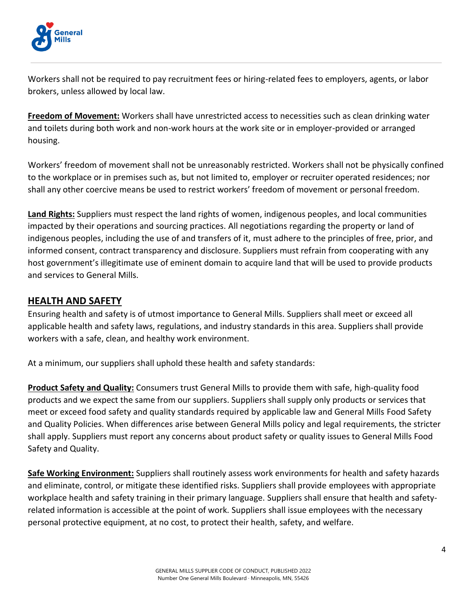

Workers shall not be required to pay recruitment fees or hiring-related fees to employers, agents, or labor brokers, unless allowed by local law.

**Freedom of Movement:** Workers shall have unrestricted access to necessities such as clean drinking water and toilets during both work and non-work hours at the work site or in employer-provided or arranged housing.

Workers' freedom of movement shall not be unreasonably restricted. Workers shall not be physically confined to the workplace or in premises such as, but not limited to, employer or recruiter operated residences; nor shall any other coercive means be used to restrict workers' freedom of movement or personal freedom.

**Land Rights:** Suppliers must respect the land rights of women, indigenous peoples, and local communities impacted by their operations and sourcing practices. All negotiations regarding the property or land of indigenous peoples, including the use of and transfers of it, must adhere to the principles of free, prior, and informed consent, contract transparency and disclosure. Suppliers must refrain from cooperating with any host government's illegitimate use of eminent domain to acquire land that will be used to provide products and services to General Mills.

# **HEALTH AND SAFETY**

Ensuring health and safety is of utmost importance to General Mills. Suppliers shall meet or exceed all applicable health and safety laws, regulations, and industry standards in this area. Suppliers shall provide workers with a safe, clean, and healthy work environment.

At a minimum, our suppliers shall uphold these health and safety standards:

**Product Safety and Quality:** Consumers trust General Mills to provide them with safe, high-quality food products and we expect the same from our suppliers. Suppliers shall supply only products or services that meet or exceed food safety and quality standards required by applicable law and General Mills Food Safety and Quality Policies. When differences arise between General Mills policy and legal requirements, the stricter shall apply. Suppliers must report any concerns about product safety or quality issues to General Mills Food Safety and Quality.

**Safe Working Environment:** Suppliers shall routinely assess work environments for health and safety hazards and eliminate, control, or mitigate these identified risks. Suppliers shall provide employees with appropriate workplace health and safety training in their primary language. Suppliers shall ensure that health and safetyrelated information is accessible at the point of work. Suppliers shall issue employees with the necessary personal protective equipment, at no cost, to protect their health, safety, and welfare.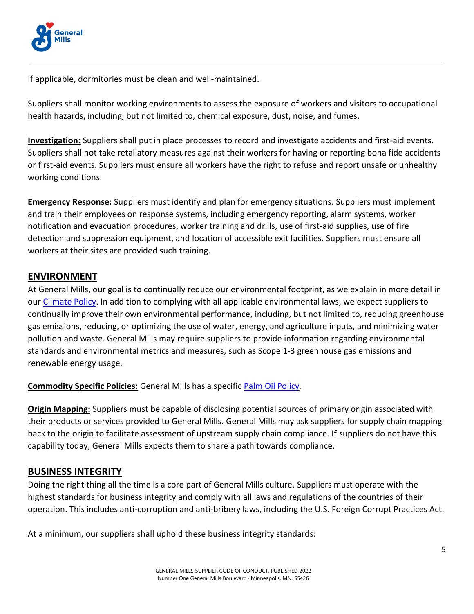

If applicable, dormitories must be clean and well-maintained.

Suppliers shall monitor working environments to assess the exposure of workers and visitors to occupational health hazards, including, but not limited to, chemical exposure, dust, noise, and fumes.

**Investigation:** Suppliers shall put in place processes to record and investigate accidents and first-aid events. Suppliers shall not take retaliatory measures against their workers for having or reporting bona fide accidents or first-aid events. Suppliers must ensure all workers have the right to refuse and report unsafe or unhealthy working conditions.

**Emergency Response:** Suppliers must identify and plan for emergency situations. Suppliers must implement and train their employees on response systems, including emergency reporting, alarm systems, worker notification and evacuation procedures, worker training and drills, use of first-aid supplies, use of fire detection and suppression equipment, and location of accessible exit facilities. Suppliers must ensure all workers at their sites are provided such training.

# **ENVIRONMENT**

At General Mills, our goal is to continually reduce our environmental footprint, as we explain in more detail in our [Climate Policy.](https://www.generalmills.com/how-we-make-it/healthier-planet/environmental-impact/climate-change/climate-policy) In addition to complying with all applicable environmental laws, we expect suppliers to continually improve their own environmental performance, including, but not limited to, reducing greenhouse gas emissions, reducing, or optimizing the use of water, energy, and agriculture inputs, and minimizing water pollution and waste. General Mills may require suppliers to provide information regarding environmental standards and environmental metrics and measures, such as Scope 1-3 greenhouse gas emissions and renewable energy usage.

**Commodity Specific Policies:** General Mills has a specific [Palm Oil Policy.](https://www.generalmills.com/-/media/Project/GMI/corporate/corporate-master/Files/Issues/GMI-Palm-Oil-Policy-March-2022.pdf?rev=37c6312b71dc4162861d926784b66260)

**Origin Mapping:** Suppliers must be capable of disclosing potential sources of primary origin associated with their products or services provided to General Mills. General Mills may ask suppliers for supply chain mapping back to the origin to facilitate assessment of upstream supply chain compliance. If suppliers do not have this capability today, General Mills expects them to share a path towards compliance.

### **BUSINESS INTEGRITY**

Doing the right thing all the time is a core part of General Mills culture. Suppliers must operate with the highest standards for business integrity and comply with all laws and regulations of the countries of their operation. This includes anti-corruption and anti-bribery laws, including the U.S. Foreign Corrupt Practices Act.

At a minimum, our suppliers shall uphold these business integrity standards: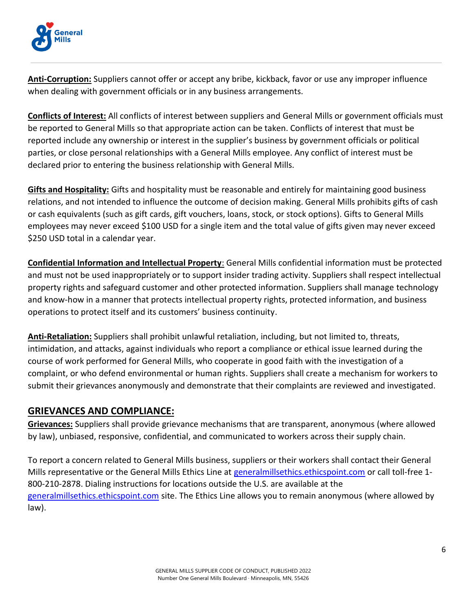

**Anti-Corruption:** Suppliers cannot offer or accept any bribe, kickback, favor or use any improper influence when dealing with government officials or in any business arrangements.

**Conflicts of Interest:** All conflicts of interest between suppliers and General Mills or government officials must be reported to General Mills so that appropriate action can be taken. Conflicts of interest that must be reported include any ownership or interest in the supplier's business by government officials or political parties, or close personal relationships with a General Mills employee. Any conflict of interest must be declared prior to entering the business relationship with General Mills.

**Gifts and Hospitality:** Gifts and hospitality must be reasonable and entirely for maintaining good business relations, and not intended to influence the outcome of decision making. General Mills prohibits gifts of cash or cash equivalents (such as gift cards, gift vouchers, loans, stock, or stock options). Gifts to General Mills employees may never exceed \$100 USD for a single item and the total value of gifts given may never exceed \$250 USD total in a calendar year.

**Confidential Information and Intellectual Property**: General Mills confidential information must be protected and must not be used inappropriately or to support insider trading activity. Suppliers shall respect intellectual property rights and safeguard customer and other protected information. Suppliers shall manage technology and know-how in a manner that protects intellectual property rights, protected information, and business operations to protect itself and its customers' business continuity.

**Anti-Retaliation:** Suppliers shall prohibit unlawful retaliation, including, but not limited to, threats, intimidation, and attacks, against individuals who report a compliance or ethical issue learned during the course of work performed for General Mills, who cooperate in good faith with the investigation of a complaint, or who defend environmental or human rights. Suppliers shall create a mechanism for workers to submit their grievances anonymously and demonstrate that their complaints are reviewed and investigated.

### **GRIEVANCES AND COMPLIANCE:**

**Grievances:** Suppliers shall provide grievance mechanisms that are transparent, anonymous (where allowed by law), unbiased, responsive, confidential, and communicated to workers across their supply chain.

To report a concern related to General Mills business, suppliers or their workers shall contact their General Mills representative or the General Mills Ethics Line at [generalmillsethics.ethicspoint.com](https://nam02.safelinks.protection.outlook.com/?url=https%3A%2F%2Fsecure.ethicspoint.com%2Fdomain%2Fmedia%2Fen%2Fgui%2F14580%2Findex.html&data=04%7C01%7CAlex.Popp%40genmills.com%7C3f1f765b8fc44ab6924c08da1815895f%7C0c33cce8883c4ba5b61534a6e2b8ff38%7C0%7C0%7C637848778041238535%7CUnknown%7CTWFpbGZsb3d8eyJWIjoiMC4wLjAwMDAiLCJQIjoiV2luMzIiLCJBTiI6Ik1haWwiLCJXVCI6Mn0%3D%7C3000&sdata=XrewTOV77Y1Ap1ubm1IVaxOmKfc5UNbCzBRc%2Bnz%2BA98%3D&reserved=0) or call toll-free 1- 800-210-2878. Dialing instructions for locations outside the U.S. are available at the [generalmillsethics.ethicspoint.com](https://nam02.safelinks.protection.outlook.com/?url=https%3A%2F%2Fsecure.ethicspoint.com%2Fdomain%2Fmedia%2Fen%2Fgui%2F14580%2Freport.html&data=04%7C01%7CAlex.Popp%40genmills.com%7C3f1f765b8fc44ab6924c08da1815895f%7C0c33cce8883c4ba5b61534a6e2b8ff38%7C0%7C0%7C637848778041238535%7CUnknown%7CTWFpbGZsb3d8eyJWIjoiMC4wLjAwMDAiLCJQIjoiV2luMzIiLCJBTiI6Ik1haWwiLCJXVCI6Mn0%3D%7C3000&sdata=LPefxgSl1XtvZvfQn4ULS5zxdRcx1CE%2FTK0UudZXURs%3D&reserved=0) site. The Ethics Line allows you to remain anonymous (where allowed by law).